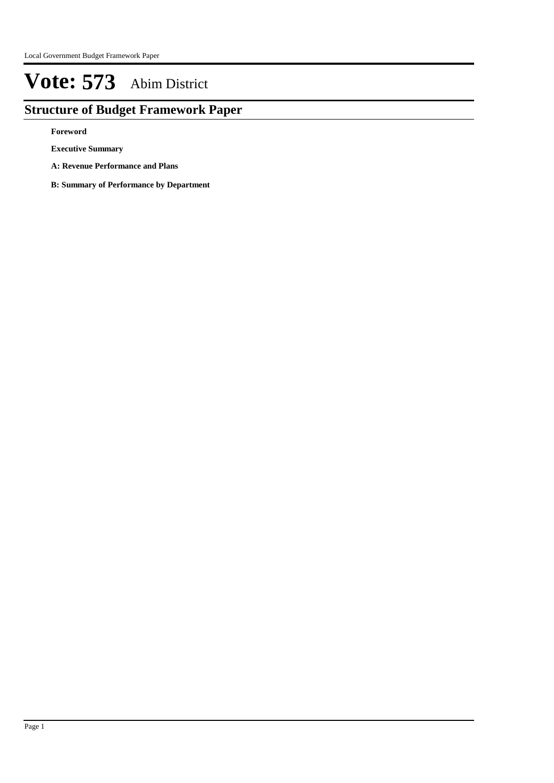## **Structure of Budget Framework Paper**

**Foreword**

**Executive Summary**

**A: Revenue Performance and Plans**

**B: Summary of Performance by Department**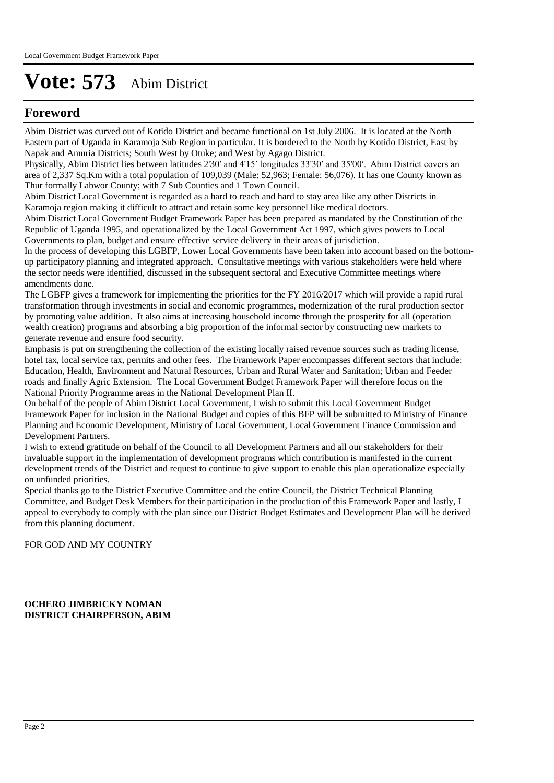## **Foreword**

Abim District was curved out of Kotido District and became functional on 1st July 2006. It is located at the North Eastern part of Uganda in Karamoja Sub Region in particular. It is bordered to the North by Kotido District, East by Napak and Amuria Districts; South West by Otuke; and West by Agago District.

Physically, Abim District lies between latitudes 2'30ʹ and 4'15ʹ longitudes 33'30ʹ and 35'00ʹ. Abim District covers an area of 2,337 Sq.Km with a total population of 109,039 (Male: 52,963; Female: 56,076). It has one County known as Thur formally Labwor County; with 7 Sub Counties and 1 Town Council.

Abim District Local Government is regarded as a hard to reach and hard to stay area like any other Districts in Karamoja region making it difficult to attract and retain some key personnel like medical doctors.

Abim District Local Government Budget Framework Paper has been prepared as mandated by the Constitution of the Republic of Uganda 1995, and operationalized by the Local Government Act 1997, which gives powers to Local Governments to plan, budget and ensure effective service delivery in their areas of jurisdiction.

In the process of developing this LGBFP, Lower Local Governments have been taken into account based on the bottomup participatory planning and integrated approach. Consultative meetings with various stakeholders were held where the sector needs were identified, discussed in the subsequent sectoral and Executive Committee meetings where amendments done.

The LGBFP gives a framework for implementing the priorities for the FY 2016/2017 which will provide a rapid rural transformation through investments in social and economic programmes, modernization of the rural production sector by promoting value addition. It also aims at increasing household income through the prosperity for all (operation wealth creation) programs and absorbing a big proportion of the informal sector by constructing new markets to generate revenue and ensure food security.

Emphasis is put on strengthening the collection of the existing locally raised revenue sources such as trading license, hotel tax, local service tax, permits and other fees. The Framework Paper encompasses different sectors that include: Education, Health, Environment and Natural Resources, Urban and Rural Water and Sanitation; Urban and Feeder roads and finally Agric Extension. The Local Government Budget Framework Paper will therefore focus on the National Priority Programme areas in the National Development Plan II.

On behalf of the people of Abim District Local Government, I wish to submit this Local Government Budget Framework Paper for inclusion in the National Budget and copies of this BFP will be submitted to Ministry of Finance Planning and Economic Development, Ministry of Local Government, Local Government Finance Commission and Development Partners.

I wish to extend gratitude on behalf of the Council to all Development Partners and all our stakeholders for their invaluable support in the implementation of development programs which contribution is manifested in the current development trends of the District and request to continue to give support to enable this plan operationalize especially on unfunded priorities.

Special thanks go to the District Executive Committee and the entire Council, the District Technical Planning Committee, and Budget Desk Members for their participation in the production of this Framework Paper and lastly, I appeal to everybody to comply with the plan since our District Budget Estimates and Development Plan will be derived from this planning document.

FOR GOD AND MY COUNTRY

**OCHERO JIMBRICKY NOMAN DISTRICT CHAIRPERSON, ABIM**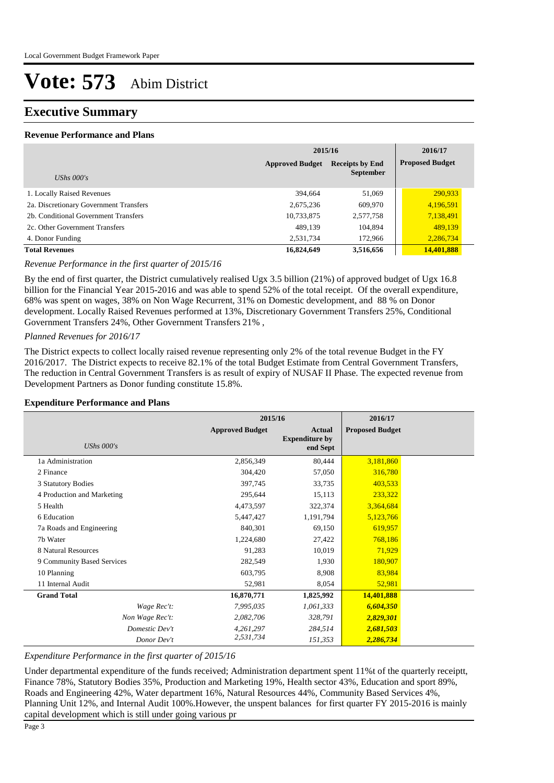### **Executive Summary**

#### **Revenue Performance and Plans**

|                                        | 2015/16                                                              | 2016/17   |                        |
|----------------------------------------|----------------------------------------------------------------------|-----------|------------------------|
|                                        | <b>Approved Budget</b><br><b>Receipts by End</b><br><b>September</b> |           | <b>Proposed Budget</b> |
| UShs $000's$                           |                                                                      |           |                        |
| 1. Locally Raised Revenues             | 394,664                                                              | 51,069    | 290,933                |
| 2a. Discretionary Government Transfers | 2,675,236                                                            | 609,970   | 4,196,591              |
| 2b. Conditional Government Transfers   | 10,733,875                                                           | 2,577,758 | 7,138,491              |
| 2c. Other Government Transfers         | 489,139                                                              | 104,894   | 489,139                |
| 4. Donor Funding                       | 2,531,734                                                            | 172,966   | 2,286,734              |
| <b>Total Revenues</b>                  | 16,824,649                                                           | 3,516,656 | 14,401,888             |

#### *Revenue Performance in the first quarter of 2015/16*

By the end of first quarter, the District cumulatively realised Ugx 3.5 billion (21%) of approved budget of Ugx 16.8 billion for the Financial Year 2015-2016 and was able to spend 52% of the total receipt. Of the overall expenditure, 68% was spent on wages, 38% on Non Wage Recurrent, 31% on Domestic development, and 88 % on Donor development. Locally Raised Revenues performed at 13%, Discretionary Government Transfers 25%, Conditional Government Transfers 24%, Other Government Transfers 21% ,

#### *Planned Revenues for 2016/17*

The District expects to collect locally raised revenue representing only 2% of the total revenue Budget in the FY 2016/2017. The District expects to receive 82.1% of the total Budget Estimate from Central Government Transfers, The reduction in Central Government Transfers is as result of expiry of NUSAF II Phase. The expected revenue from Development Partners as Donor funding constitute 15.8%.

#### **Expenditure Performance and Plans**

|                            | 2015/16                |                                                    | 2016/17                |  |
|----------------------------|------------------------|----------------------------------------------------|------------------------|--|
| <b>UShs 000's</b>          | <b>Approved Budget</b> | <b>Actual</b><br><b>Expenditure by</b><br>end Sept | <b>Proposed Budget</b> |  |
| 1a Administration          | 2,856,349              | 80,444                                             | 3,181,860              |  |
| 2 Finance                  | 304,420                | 57,050                                             | 316,780                |  |
| 3 Statutory Bodies         | 397,745                | 33,735                                             | 403,533                |  |
| 4 Production and Marketing | 295,644                | 15,113                                             | 233,322                |  |
| 5 Health                   | 4,473,597              | 322,374                                            | 3,364,684              |  |
| 6 Education                | 5,447,427              | 1,191,794                                          | 5,123,766              |  |
| 7a Roads and Engineering   | 840,301                | 69,150                                             | 619,957                |  |
| 7b Water                   | 1,224,680              | 27,422                                             | 768,186                |  |
| 8 Natural Resources        | 91,283                 | 10,019                                             | 71,929                 |  |
| 9 Community Based Services | 282,549                | 1,930                                              | 180,907                |  |
| 10 Planning                | 603,795                | 8,908                                              | 83,984                 |  |
| 11 Internal Audit          | 52,981                 | 8,054                                              | 52,981                 |  |
| <b>Grand Total</b>         | 16,870,771             | 1,825,992                                          | 14,401,888             |  |
| Wage Rec't:                | 7,995,035              | 1,061,333                                          | 6,604,350              |  |
| Non Wage Rec't:            | 2,082,706              | 328,791                                            | 2,829,301              |  |
| Domestic Dev't             | 4,261,297              | 284,514                                            | 2,681,503              |  |
| Donor Dev't                | 2,531,734              | 151,353                                            | 2,286,734              |  |

#### *Expenditure Performance in the first quarter of 2015/16*

Under departmental expenditure of the funds received; Administration department spent 11%t of the quarterly receiptt, Finance 78%, Statutory Bodies 35%, Production and Marketing 19%, Health sector 43%, Education and sport 89%, Roads and Engineering 42%, Water department 16%, Natural Resources 44%, Community Based Services 4%, Planning Unit 12%, and Internal Audit 100%.However, the unspent balances for first quarter FY 2015-2016 is mainly capital development which is still under going various pr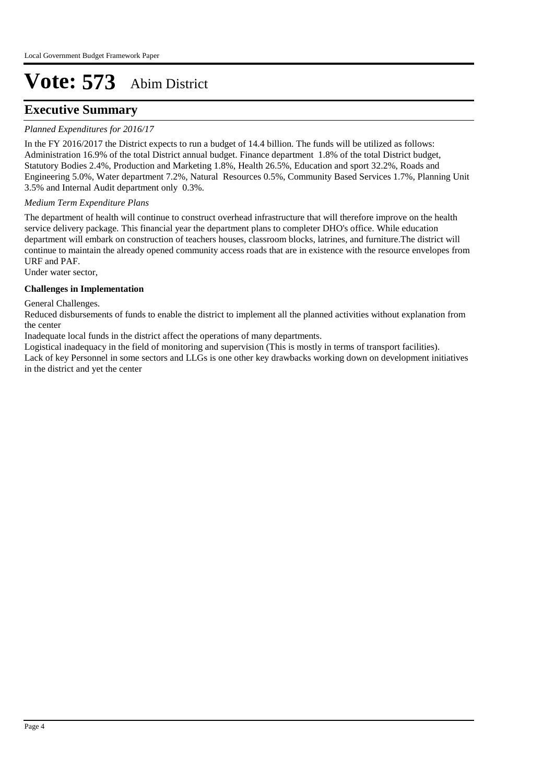### **Executive Summary**

#### *Planned Expenditures for 2016/17*

In the FY 2016/2017 the District expects to run a budget of 14.4 billion. The funds will be utilized as follows: Administration 16.9% of the total District annual budget. Finance department 1.8% of the total District budget, Statutory Bodies 2.4%, Production and Marketing 1.8%, Health 26.5%, Education and sport 32.2%, Roads and Engineering 5.0%, Water department 7.2%, Natural Resources 0.5%, Community Based Services 1.7%, Planning Unit 3.5% and Internal Audit department only 0.3%.

#### *Medium Term Expenditure Plans*

The department of health will continue to construct overhead infrastructure that will therefore improve on the health service delivery package. This financial year the department plans to completer DHO's office. While education department will embark on construction of teachers houses, classroom blocks, latrines, and furniture.The district will continue to maintain the already opened community access roads that are in existence with the resource envelopes from URF and PAF.

Under water sector,

#### **Challenges in Implementation**

General Challenges.

Reduced disbursements of funds to enable the district to implement all the planned activities without explanation from the center

Inadequate local funds in the district affect the operations of many departments.

Logistical inadequacy in the field of monitoring and supervision (This is mostly in terms of transport facilities). Lack of key Personnel in some sectors and LLGs is one other key drawbacks working down on development initiatives in the district and yet the center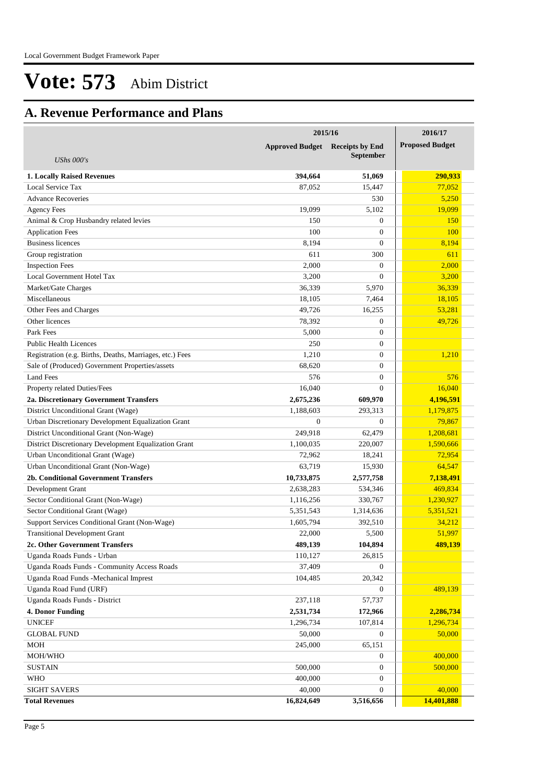## **A. Revenue Performance and Plans**

|                                                          | 2015/16                | 2016/17                                    |                        |
|----------------------------------------------------------|------------------------|--------------------------------------------|------------------------|
| <b>UShs 000's</b>                                        | <b>Approved Budget</b> | <b>Receipts by End</b><br><b>September</b> | <b>Proposed Budget</b> |
|                                                          |                        |                                            |                        |
| <b>1. Locally Raised Revenues</b>                        | 394,664                | 51,069                                     | 290,933                |
| Local Service Tax                                        | 87,052                 | 15,447                                     | 77.052                 |
| <b>Advance Recoveries</b>                                |                        | 530                                        | 5,250                  |
| <b>Agency Fees</b>                                       | 19,099                 | 5,102                                      | 19,099                 |
| Animal & Crop Husbandry related levies                   | 150                    | $\theta$                                   | <b>150</b>             |
| <b>Application Fees</b>                                  | 100                    | $\theta$                                   | 100                    |
| <b>Business licences</b>                                 | 8,194                  | $\mathbf{0}$                               | 8,194                  |
| Group registration                                       | 611                    | 300                                        | 611                    |
| <b>Inspection Fees</b>                                   | 2,000                  | $\theta$                                   | 2,000                  |
| Local Government Hotel Tax                               | 3,200                  | $\theta$                                   | 3,200                  |
| Market/Gate Charges                                      | 36,339                 | 5,970                                      | 36,339                 |
| Miscellaneous                                            | 18,105                 | 7,464                                      | 18,105                 |
| Other Fees and Charges                                   | 49.726                 | 16,255                                     | 53,281                 |
| Other licences                                           | 78,392                 | $\overline{0}$                             | 49,726                 |
| Park Fees                                                | 5,000                  | $\theta$                                   |                        |
| <b>Public Health Licences</b>                            | 250                    | $\theta$                                   |                        |
| Registration (e.g. Births, Deaths, Marriages, etc.) Fees | 1,210                  | $\theta$                                   | 1,210                  |
| Sale of (Produced) Government Properties/assets          | 68,620                 | $\mathbf{0}$                               |                        |
| <b>Land Fees</b>                                         | 576                    | $\theta$                                   | 576                    |
| Property related Duties/Fees                             | 16,040                 | $\Omega$                                   | 16,040                 |
| 2a. Discretionary Government Transfers                   | 2,675,236              | 609,970                                    | 4,196,591              |
| District Unconditional Grant (Wage)                      | 1,188,603              | 293,313                                    | 1,179,875              |
| Urban Discretionary Development Equalization Grant       | $\theta$               | $\theta$                                   | 79,867                 |
| District Unconditional Grant (Non-Wage)                  | 249,918                | 62,479                                     | 1,208,681              |
| District Discretionary Development Equalization Grant    | 1,100,035              | 220,007                                    | 1,590,666              |
| Urban Unconditional Grant (Wage)                         | 72,962                 | 18,241                                     | 72,954                 |
| Urban Unconditional Grant (Non-Wage)                     | 63,719                 | 15,930                                     | 64,547                 |
| 2b. Conditional Government Transfers                     | 10,733,875             | 2,577,758                                  | 7,138,491              |
| Development Grant                                        | 2,638,283              | 534,346                                    | 469,834                |
| Sector Conditional Grant (Non-Wage)                      | 1,116,256              | 330,767                                    | 1,230,927              |
| Sector Conditional Grant (Wage)                          | 5,351,543              | 1,314,636                                  | 5,351,521              |
| Support Services Conditional Grant (Non-Wage)            | 1,605,794              | 392,510                                    | 34,212                 |
| <b>Transitional Development Grant</b>                    | 22,000                 | 5,500                                      | 51,997                 |
| 2c. Other Government Transfers                           | 489,139                | 104,894                                    | 489,139                |
| Uganda Roads Funds - Urban                               | 110,127                | 26,815                                     |                        |
| Uganda Roads Funds - Community Access Roads              | 37,409                 | $\mathbf{0}$                               |                        |
| Uganda Road Funds - Mechanical Imprest                   | 104,485                | 20,342                                     |                        |
| Uganda Road Fund (URF)                                   |                        | $\mathbf{0}$                               | 489,139                |
| Uganda Roads Funds - District                            | 237,118                | 57,737                                     |                        |
| <b>4. Donor Funding</b>                                  | 2,531,734              | 172,966                                    | 2,286,734              |
| <b>UNICEF</b>                                            | 1,296,734              | 107,814                                    | 1,296,734              |
| <b>GLOBAL FUND</b>                                       | 50,000                 | $\mathbf{0}$                               | 50,000                 |
| <b>MOH</b>                                               | 245,000                | 65,151                                     |                        |
| MOH/WHO                                                  |                        | $\mathbf{0}$                               | 400,000                |
| <b>SUSTAIN</b>                                           | 500,000                | $\mathbf{0}$                               | 500,000                |
| <b>WHO</b>                                               | 400,000                | $\mathbf{0}$                               |                        |
| <b>SIGHT SAVERS</b>                                      | 40,000                 | $\overline{0}$                             | 40,000                 |
| <b>Total Revenues</b>                                    | 16,824,649             | 3,516,656                                  | 14,401,888             |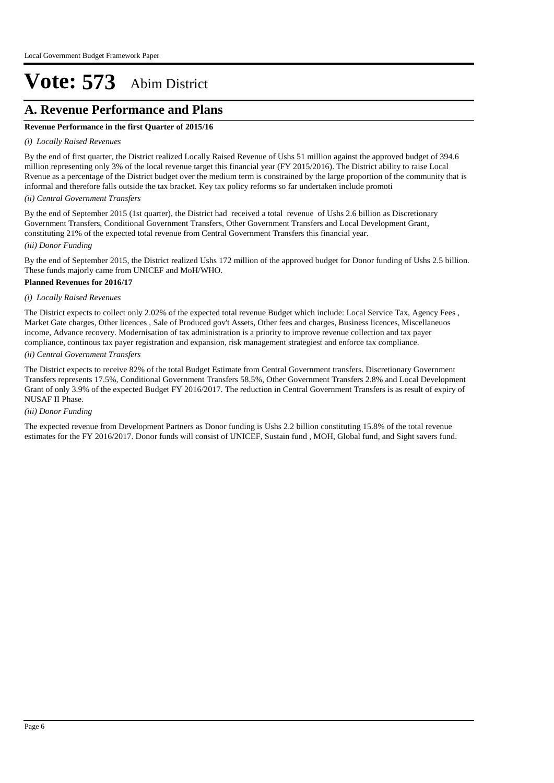### **A. Revenue Performance and Plans**

#### **Revenue Performance in the first Quarter of 2015/16**

#### *(i) Locally Raised Revenues*

By the end of first quarter, the District realized Locally Raised Revenue of Ushs 51 million against the approved budget of 394.6 million representing only 3% of the local revenue target this financial year (FY 2015/2016). The District ability to raise Local Rvenue as a percentage of the District budget over the medium term is constrained by the large proportion of the community that is informal and therefore falls outside the tax bracket. Key tax policy reforms so far undertaken include promoti

#### *(ii) Central Government Transfers*

*(iii) Donor Funding* By the end of September 2015 (1st quarter), the District had received a total revenue of Ushs 2.6 billion as Discretionary Government Transfers, Conditional Government Transfers, Other Government Transfers and Local Development Grant, constituting 21% of the expected total revenue from Central Government Transfers this financial year.

By the end of September 2015, the District realized Ushs 172 million of the approved budget for Donor funding of Ushs 2.5 billion. These funds majorly came from UNICEF and MoH/WHO.

#### **Planned Revenues for 2016/17**

#### *(i) Locally Raised Revenues*

The District expects to collect only 2.02% of the expected total revenue Budget which include: Local Service Tax, Agency Fees , Market Gate charges, Other licences , Sale of Produced gov't Assets, Other fees and charges, Business licences, Miscellaneuos income, Advance recovery. Modernisation of tax administration is a priority to improve revenue collection and tax payer compliance, continous tax payer registration and expansion, risk management strategiest and enforce tax compliance.

#### *(ii) Central Government Transfers*

The District expects to receive 82% of the total Budget Estimate from Central Government transfers. Discretionary Government Transfers represents 17.5%, Conditional Government Transfers 58.5%, Other Government Transfers 2.8% and Local Development Grant of only 3.9% of the expected Budget FY 2016/2017. The reduction in Central Government Transfers is as result of expiry of NUSAF II Phase.

#### *(iii) Donor Funding*

The expected revenue from Development Partners as Donor funding is Ushs 2.2 billion constituting 15.8% of the total revenue estimates for the FY 2016/2017. Donor funds will consist of UNICEF, Sustain fund , MOH, Global fund, and Sight savers fund.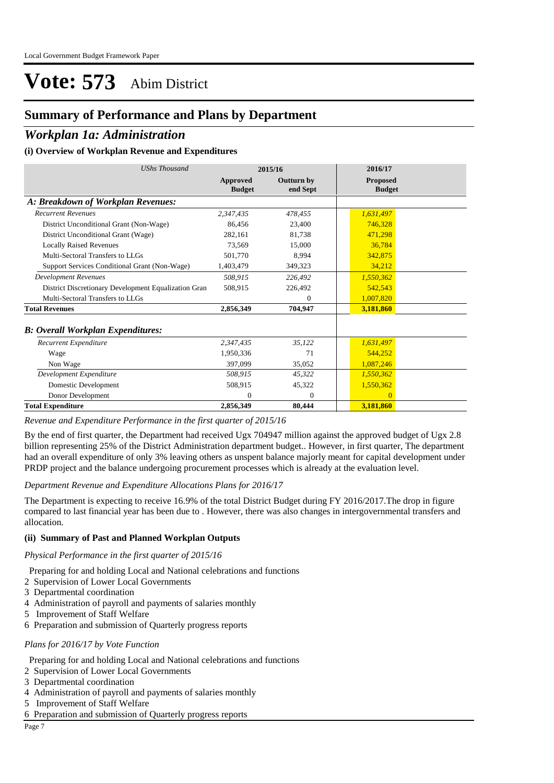### **Summary of Performance and Plans by Department**

### *Workplan 1a: Administration*

#### **(i) Overview of Workplan Revenue and Expenditures**

| <b>UShs Thousand</b>                                 |                           | 2015/16                       | 2016/17                          |  |
|------------------------------------------------------|---------------------------|-------------------------------|----------------------------------|--|
|                                                      | Approved<br><b>Budget</b> | <b>Outturn by</b><br>end Sept | <b>Proposed</b><br><b>Budget</b> |  |
| A: Breakdown of Workplan Revenues:                   |                           |                               |                                  |  |
| <b>Recurrent Revenues</b>                            | 2,347,435                 | 478,455                       | 1,631,497                        |  |
| District Unconditional Grant (Non-Wage)              | 86,456                    | 23,400                        | 746,328                          |  |
| District Unconditional Grant (Wage)                  | 282,161                   | 81,738                        | 471,298                          |  |
| <b>Locally Raised Revenues</b>                       | 73,569                    | 15,000                        | 36,784                           |  |
| Multi-Sectoral Transfers to LLGs                     | 501,770                   | 8,994                         | 342,875                          |  |
| Support Services Conditional Grant (Non-Wage)        | 1,403,479                 | 349,323                       | 34,212                           |  |
| <b>Development Revenues</b>                          | 508,915                   | 226,492                       | 1,550,362                        |  |
| District Discretionary Development Equalization Gran | 508,915                   | 226,492                       | 542,543                          |  |
| Multi-Sectoral Transfers to LLGs                     |                           | 0                             | 1,007,820                        |  |
| <b>Total Revenues</b>                                | 2,856,349                 | 704,947                       | 3,181,860                        |  |
| <b>B</b> : Overall Workplan Expenditures:            |                           |                               |                                  |  |
| Recurrent Expenditure                                | 2,347,435                 | 35,122                        | 1,631,497                        |  |
| Wage                                                 | 1,950,336                 | 71                            | 544,252                          |  |
| Non Wage                                             | 397,099                   | 35,052                        | 1,087,246                        |  |
| Development Expenditure                              | 508,915                   | 45,322                        | 1,550,362                        |  |
| Domestic Development                                 | 508,915                   | 45,322                        | 1,550,362                        |  |
| Donor Development                                    | $\theta$                  | $\theta$                      | $\Omega$                         |  |
| <b>Total Expenditure</b>                             | 2,856,349                 | 80,444                        | 3,181,860                        |  |

*Revenue and Expenditure Performance in the first quarter of 2015/16*

By the end of first quarter, the Department had received Ugx 704947 million against the approved budget of Ugx 2.8 billion representing 25% of the District Administration department budget.. However, in first quarter, The department had an overall expenditure of only 3% leaving others as unspent balance majorly meant for capital development under PRDP project and the balance undergoing procurement processes which is already at the evaluation level.

#### *Department Revenue and Expenditure Allocations Plans for 2016/17*

The Department is expecting to receive 16.9% of the total District Budget during FY 2016/2017.The drop in figure compared to last financial year has been due to . However, there was also changes in intergovernmental transfers and allocation.

#### **(ii) Summary of Past and Planned Workplan Outputs**

*Physical Performance in the first quarter of 2015/16*

- Preparing for and holding Local and National celebrations and functions
- 2 Supervision of Lower Local Governments
- 3 Departmental coordination
- 4 Administration of payroll and payments of salaries monthly
- 5 Improvement of Staff Welfare
- 6 Preparation and submission of Quarterly progress reports

#### *Plans for 2016/17 by Vote Function*

Preparing for and holding Local and National celebrations and functions

- 2 Supervision of Lower Local Governments
- 3 Departmental coordination
- 4 Administration of payroll and payments of salaries monthly
- 5 Improvement of Staff Welfare
- 6 Preparation and submission of Quarterly progress reports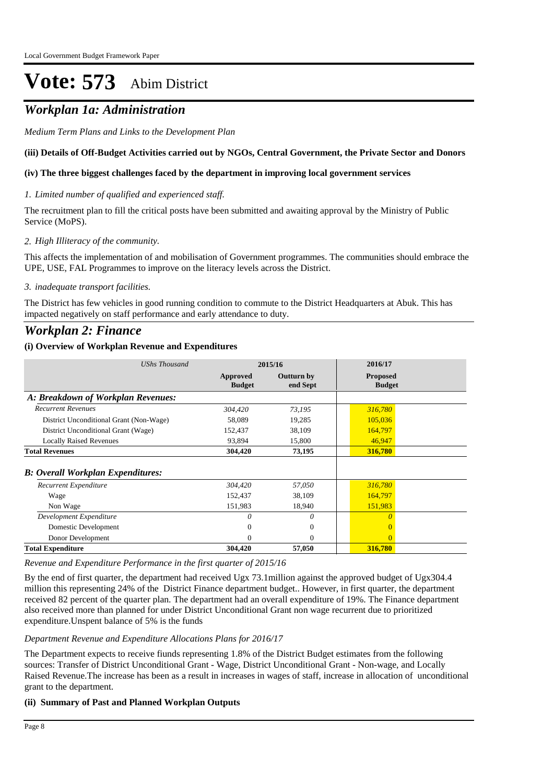## *Workplan 1a: Administration*

*Medium Term Plans and Links to the Development Plan*

#### **(iii) Details of Off-Budget Activities carried out by NGOs, Central Government, the Private Sector and Donors**

#### **(iv) The three biggest challenges faced by the department in improving local government services**

*Limited number of qualified and experienced staff. 1.*

The recruitment plan to fill the critical posts have been submitted and awaiting approval by the Ministry of Public Service (MoPS).

#### *High Illiteracy of the community. 2.*

This affects the implementation of and mobilisation of Government programmes. The communities should embrace the UPE, USE, FAL Programmes to improve on the literacy levels across the District.

#### *inadequate transport facilities. 3.*

The District has few vehicles in good running condition to commute to the District Headquarters at Abuk. This has impacted negatively on staff performance and early attendance to duty.

### *Workplan 2: Finance*

#### **(i) Overview of Workplan Revenue and Expenditures**

| <b>UShs Thousand</b>                     |                           | 2015/16                       | 2016/17                          |  |
|------------------------------------------|---------------------------|-------------------------------|----------------------------------|--|
|                                          | Approved<br><b>Budget</b> | <b>Outturn by</b><br>end Sept | <b>Proposed</b><br><b>Budget</b> |  |
| A: Breakdown of Workplan Revenues:       |                           |                               |                                  |  |
| <b>Recurrent Revenues</b>                | 304,420                   | 73,195                        | 316,780                          |  |
| District Unconditional Grant (Non-Wage)  | 58,089                    | 19,285                        | 105,036                          |  |
| District Unconditional Grant (Wage)      | 152,437                   | 38,109                        | 164,797                          |  |
| <b>Locally Raised Revenues</b>           | 93,894                    | 15,800                        | 46,947                           |  |
| <b>Total Revenues</b>                    | 304,420                   | 73,195                        | 316,780                          |  |
| <b>B: Overall Workplan Expenditures:</b> |                           |                               |                                  |  |
| Recurrent Expenditure                    | 304,420                   | 57,050                        | 316,780                          |  |
| Wage                                     | 152,437                   | 38,109                        | 164,797                          |  |
| Non Wage                                 | 151,983                   | 18,940                        | 151,983                          |  |
| Development Expenditure                  | 0                         | $\theta$                      | 0                                |  |
| Domestic Development                     | 0                         | $\mathbf{0}$                  |                                  |  |
| Donor Development                        | 0                         | $\Omega$                      | $\overline{0}$                   |  |
| <b>Total Expenditure</b>                 | 304,420                   | 57,050                        | 316,780                          |  |

*Revenue and Expenditure Performance in the first quarter of 2015/16*

By the end of first quarter, the department had received Ugx 73.1million against the approved budget of Ugx304.4 million this representing 24% of the District Finance department budget.. However, in first quarter, the department received 82 percent of the quarter plan. The department had an overall expenditure of 19%. The Finance department also received more than planned for under District Unconditional Grant non wage recurrent due to prioritized expenditure.Unspent balance of 5% is the funds

#### *Department Revenue and Expenditure Allocations Plans for 2016/17*

The Department expects to receive fiunds representing 1.8% of the District Budget estimates from the following sources: Transfer of District Unconditional Grant - Wage, District Unconditional Grant - Non-wage, and Locally Raised Revenue.The increase has been as a result in increases in wages of staff, increase in allocation of unconditional grant to the department.

#### **(ii) Summary of Past and Planned Workplan Outputs**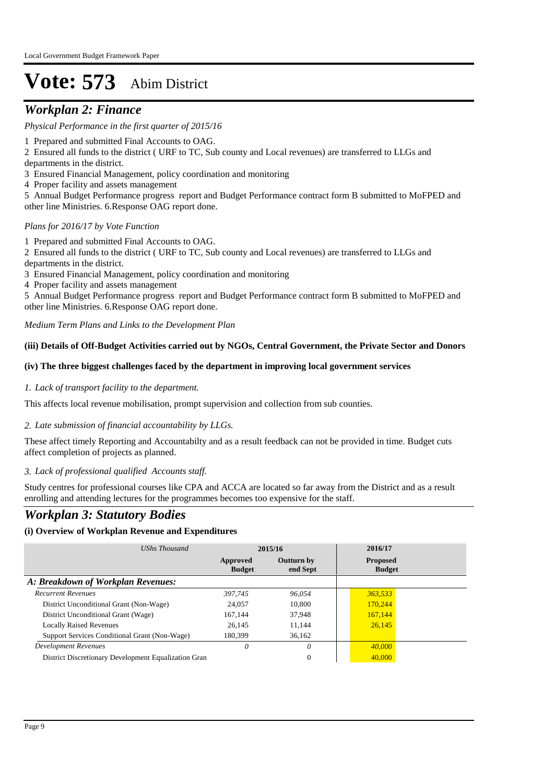### *Workplan 2: Finance*

#### *Physical Performance in the first quarter of 2015/16*

- 1 Prepared and submitted Final Accounts to OAG.
- 2 Ensured all funds to the district ( URF to TC, Sub county and Local revenues) are transferred to LLGs and
- departments in the district.
- 3 Ensured Financial Management, policy coordination and monitoring
- 4 Proper facility and assets management
- 5 Annual Budget Performance progress report and Budget Performance contract form B submitted to MoFPED and other line Ministries. 6.Response OAG report done.

#### *Plans for 2016/17 by Vote Function*

- 1 Prepared and submitted Final Accounts to OAG.
- 2 Ensured all funds to the district ( URF to TC, Sub county and Local revenues) are transferred to LLGs and
- departments in the district.
- 3 Ensured Financial Management, policy coordination and monitoring
- 4 Proper facility and assets management

5 Annual Budget Performance progress report and Budget Performance contract form B submitted to MoFPED and other line Ministries. 6.Response OAG report done.

*Medium Term Plans and Links to the Development Plan*

#### **(iii) Details of Off-Budget Activities carried out by NGOs, Central Government, the Private Sector and Donors**

#### **(iv) The three biggest challenges faced by the department in improving local government services**

#### *Lack of transport facility to the department. 1.*

This affects local revenue mobilisation, prompt supervision and collection from sub counties.

#### *Late submission of financial accountability by LLGs. 2.*

These affect timely Reporting and Accountabilty and as a result feedback can not be provided in time. Budget cuts affect completion of projects as planned.

#### *Lack of professional qualified Accounts staff. 3.*

Study centres for professional courses like CPA and ACCA are located so far away from the District and as a result enrolling and attending lectures for the programmes becomes too expensive for the staff.

### *Workplan 3: Statutory Bodies*

#### **(i) Overview of Workplan Revenue and Expenditures**

| UShs Thousand                                        | 2015/16                   |                               | 2016/17                          |  |
|------------------------------------------------------|---------------------------|-------------------------------|----------------------------------|--|
|                                                      | Approved<br><b>Budget</b> | <b>Outturn by</b><br>end Sept | <b>Proposed</b><br><b>Budget</b> |  |
| A: Breakdown of Workplan Revenues:                   |                           |                               |                                  |  |
| <b>Recurrent Revenues</b>                            | 397.745                   | 96.054                        | 363,533                          |  |
| District Unconditional Grant (Non-Wage)              | 24,057                    | 10,800                        | 170,244                          |  |
| District Unconditional Grant (Wage)                  | 167.144                   | 37.948                        | 167,144                          |  |
| <b>Locally Raised Revenues</b>                       | 26.145                    | 11.144                        | 26,145                           |  |
| Support Services Conditional Grant (Non-Wage)        | 180,399                   | 36.162                        |                                  |  |
| Development Revenues                                 | 0                         |                               | 40,000                           |  |
| District Discretionary Development Equalization Gran |                           | 0                             | 40,000                           |  |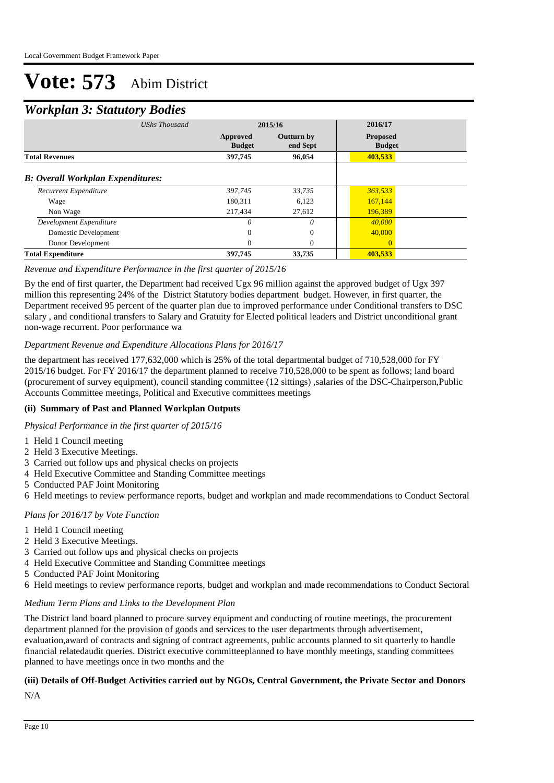### *Workplan 3: Statutory Bodies*

| $\checkmark$                             |                           |                               |                                  |  |
|------------------------------------------|---------------------------|-------------------------------|----------------------------------|--|
|                                          | <b>UShs Thousand</b>      | 2015/16                       | 2016/17                          |  |
|                                          | Approved<br><b>Budget</b> | <b>Outturn by</b><br>end Sept | <b>Proposed</b><br><b>Budget</b> |  |
| <b>Total Revenues</b>                    | 397,745                   | 96,054                        | 403,533                          |  |
| <b>B: Overall Workplan Expenditures:</b> |                           |                               |                                  |  |
| Recurrent Expenditure                    | 397,745                   | 33,735                        | 363,533                          |  |
| Wage                                     | 180,311                   | 6,123                         | 167,144                          |  |
| Non Wage                                 | 217,434                   | 27,612                        | 196,389                          |  |
| Development Expenditure                  | 0                         | $\theta$                      | 40,000                           |  |
| Domestic Development                     | $\Omega$                  | $\Omega$                      | 40,000                           |  |
| Donor Development                        | 0                         | $\Omega$                      | $\Omega$                         |  |
| <b>Total Expenditure</b>                 | 397,745                   | 33,735                        | 403,533                          |  |

#### *Revenue and Expenditure Performance in the first quarter of 2015/16*

By the end of first quarter, the Department had received Ugx 96 million against the approved budget of Ugx 397 million this representing 24% of the District Statutory bodies department budget. However, in first quarter, the Department received 95 percent of the quarter plan due to improved performance under Conditional transfers to DSC salary , and conditional transfers to Salary and Gratuity for Elected political leaders and District unconditional grant non-wage recurrent. Poor performance wa

#### *Department Revenue and Expenditure Allocations Plans for 2016/17*

the department has received 177,632,000 which is 25% of the total departmental budget of 710,528,000 for FY 2015/16 budget. For FY 2016/17 the department planned to receive 710,528,000 to be spent as follows; land board (procurement of survey equipment), council standing committee (12 sittings) ,salaries of the DSC-Chairperson,Public Accounts Committee meetings, Political and Executive committees meetings

#### **(ii) Summary of Past and Planned Workplan Outputs**

*Physical Performance in the first quarter of 2015/16*

- 1 Held 1 Council meeting
- 2 Held 3 Executive Meetings.
- 3 Carried out follow ups and physical checks on projects
- 4 Held Executive Committee and Standing Committee meetings
- 5 Conducted PAF Joint Monitoring
- 6 Held meetings to review performance reports, budget and workplan and made recommendations to Conduct Sectoral

#### *Plans for 2016/17 by Vote Function*

- 1 Held 1 Council meeting
- 2 Held 3 Executive Meetings.
- 3 Carried out follow ups and physical checks on projects
- 4 Held Executive Committee and Standing Committee meetings
- 5 Conducted PAF Joint Monitoring
- 6 Held meetings to review performance reports, budget and workplan and made recommendations to Conduct Sectoral

#### *Medium Term Plans and Links to the Development Plan*

The District land board planned to procure survey equipment and conducting of routine meetings, the procurement department planned for the provision of goods and services to the user departments through advertisement, evaluation,award of contracts and signing of contract agreements, public accounts planned to sit quarterly to handle financial relatedaudit queries. District executive committeeplanned to have monthly meetings, standing committees planned to have meetings once in two months and the

### **(iii) Details of Off-Budget Activities carried out by NGOs, Central Government, the Private Sector and Donors**

N/A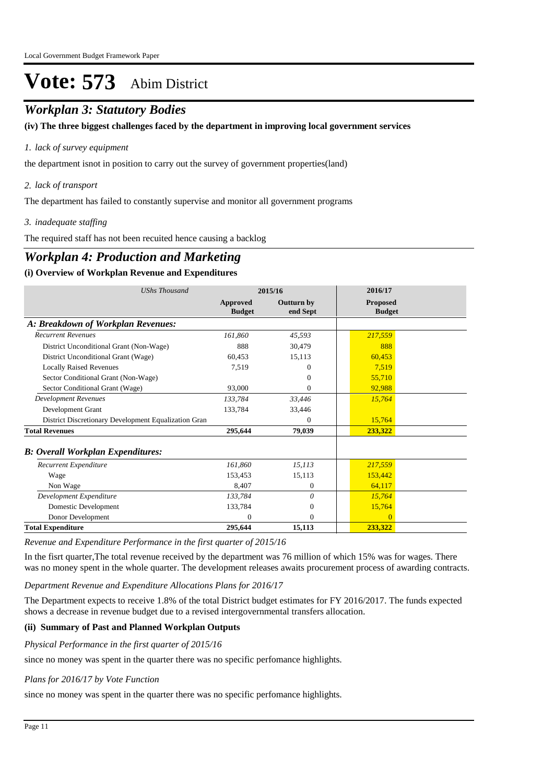## *Workplan 3: Statutory Bodies*

**(iv) The three biggest challenges faced by the department in improving local government services**

#### *lack of survey equipment 1.*

the department isnot in position to carry out the survey of government properties(land)

#### *lack of transport 2.*

The department has failed to constantly supervise and monitor all government programs

#### *inadequate staffing 3.*

The required staff has not been recuited hence causing a backlog

## *Workplan 4: Production and Marketing*

#### **(i) Overview of Workplan Revenue and Expenditures**

| <b>UShs Thousand</b>                                 |                           | 2015/16                | 2016/17                          |
|------------------------------------------------------|---------------------------|------------------------|----------------------------------|
|                                                      | Approved<br><b>Budget</b> | Outturn by<br>end Sept | <b>Proposed</b><br><b>Budget</b> |
| A: Breakdown of Workplan Revenues:                   |                           |                        |                                  |
| <b>Recurrent Revenues</b>                            | 161,860                   | 45,593                 | 217,559                          |
| District Unconditional Grant (Non-Wage)              | 888                       | 30,479                 | 888                              |
| District Unconditional Grant (Wage)                  | 60,453                    | 15,113                 | 60,453                           |
| <b>Locally Raised Revenues</b>                       | 7,519                     | 0                      | 7.519                            |
| Sector Conditional Grant (Non-Wage)                  |                           | $^{0}$                 | 55,710                           |
| Sector Conditional Grant (Wage)                      | 93,000                    | $^{(1)}$               | 92,988                           |
| <b>Development Revenues</b>                          | 133,784                   | 33,446                 | 15,764                           |
| Development Grant                                    | 133,784                   | 33,446                 |                                  |
| District Discretionary Development Equalization Gran |                           | $\Omega$               | 15,764                           |
| <b>Total Revenues</b>                                | 295,644                   | 79,039                 | 233,322                          |
| <b>B: Overall Workplan Expenditures:</b>             |                           |                        |                                  |
| Recurrent Expenditure                                | 161,860                   | 15,113                 | 217,559                          |
| Wage                                                 | 153,453                   | 15,113                 | 153,442                          |
| Non Wage                                             | 8,407                     | $\mathbf{0}$           | 64,117                           |
| Development Expenditure                              | 133,784                   | 0                      | 15,764                           |
| Domestic Development                                 | 133,784                   | $\mathbf{0}$           | 15,764                           |
| Donor Development                                    | $\Omega$                  | $\overline{0}$         | $\Omega$                         |
| <b>Total Expenditure</b>                             | 295,644                   | 15,113                 | 233,322                          |

*Revenue and Expenditure Performance in the first quarter of 2015/16*

In the fisrt quarter, The total revenue received by the department was 76 million of which 15% was for wages. There was no money spent in the whole quarter. The development releases awaits procurement process of awarding contracts.

*Department Revenue and Expenditure Allocations Plans for 2016/17*

The Department expects to receive 1.8% of the total District budget estimates for FY 2016/2017. The funds expected shows a decrease in revenue budget due to a revised intergovernmental transfers allocation.

#### **(ii) Summary of Past and Planned Workplan Outputs**

*Physical Performance in the first quarter of 2015/16*

since no money was spent in the quarter there was no specific perfomance highlights.

#### *Plans for 2016/17 by Vote Function*

since no money was spent in the quarter there was no specific perfomance highlights.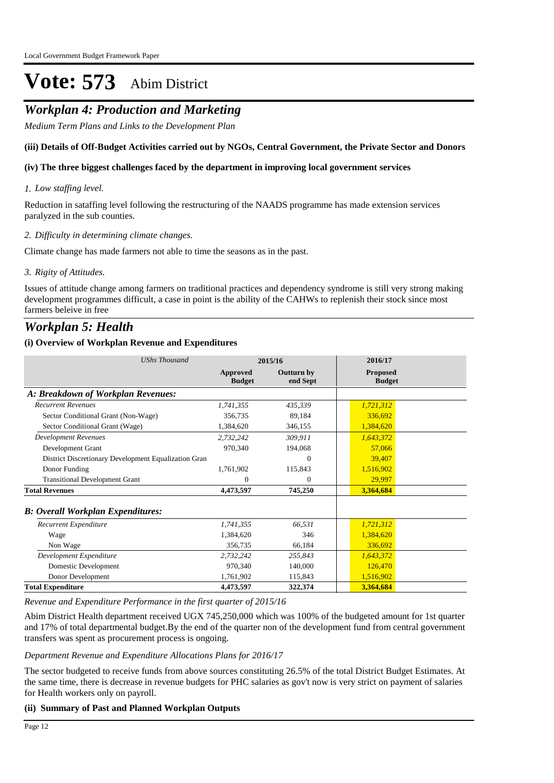### *Workplan 4: Production and Marketing*

*Medium Term Plans and Links to the Development Plan*

#### **(iii) Details of Off-Budget Activities carried out by NGOs, Central Government, the Private Sector and Donors**

#### **(iv) The three biggest challenges faced by the department in improving local government services**

#### *Low staffing level. 1.*

Reduction in sataffing level following the restructuring of the NAADS programme has made extension services paralyzed in the sub counties.

#### *Difficulty in determining climate changes. 2.*

Climate change has made farmers not able to time the seasons as in the past.

#### *Rigity of Attitudes. 3.*

Issues of attitude change among farmers on traditional practices and dependency syndrome is still very strong making development programmes difficult, a case in point is the ability of the CAHWs to replenish their stock since most farmers beleive in free

### *Workplan 5: Health*

#### **(i) Overview of Workplan Revenue and Expenditures**

| <b>UShs Thousand</b>                                 | 2015/16                   |                               | 2016/17                          |
|------------------------------------------------------|---------------------------|-------------------------------|----------------------------------|
|                                                      | Approved<br><b>Budget</b> | <b>Outturn by</b><br>end Sept | <b>Proposed</b><br><b>Budget</b> |
| A: Breakdown of Workplan Revenues:                   |                           |                               |                                  |
| <b>Recurrent Revenues</b>                            | 1,741,355                 | 435,339                       | 1,721,312                        |
| Sector Conditional Grant (Non-Wage)                  | 356,735                   | 89,184                        | 336,692                          |
| Sector Conditional Grant (Wage)                      | 1,384,620                 | 346,155                       | 1,384,620                        |
| <b>Development Revenues</b>                          | 2,732,242                 | 309,911                       | 1,643,372                        |
| Development Grant                                    | 970,340                   | 194,068                       | 57,066                           |
| District Discretionary Development Equalization Gran |                           | 0                             | 39,407                           |
| Donor Funding                                        | 1,761,902                 | 115,843                       | 1,516,902                        |
| <b>Transitional Development Grant</b>                | $\Omega$                  | 0                             | 29,997                           |
| <b>Total Revenues</b>                                | 4,473,597                 | 745,250                       | 3,364,684                        |
| <b>B: Overall Workplan Expenditures:</b>             |                           |                               |                                  |
| Recurrent Expenditure                                | 1,741,355                 | 66,531                        | 1,721,312                        |
| Wage                                                 | 1.384.620                 | 346                           | 1,384,620                        |
| Non Wage                                             | 356,735                   | 66,184                        | 336,692                          |
| Development Expenditure                              | 2,732,242                 | 255,843                       | 1,643,372                        |
| Domestic Development                                 | 970,340                   | 140,000                       | 126,470                          |
| Donor Development                                    | 1,761,902                 | 115,843                       | 1,516,902                        |
| <b>Total Expenditure</b>                             | 4,473,597                 | 322,374                       | 3,364,684                        |

*Revenue and Expenditure Performance in the first quarter of 2015/16*

Abim District Health department received UGX 745,250,000 which was 100% of the budgeted amount for 1st quarter and 17% of total departmental budget.By the end of the quarter non of the development fund from central government transfers was spent as procurement process is ongoing.

#### *Department Revenue and Expenditure Allocations Plans for 2016/17*

The sector budgeted to receive funds from above sources constituting 26.5% of the total District Budget Estimates. At the same time, there is decrease in revenue budgets for PHC salaries as gov't now is very strict on payment of salaries for Health workers only on payroll.

#### **(ii) Summary of Past and Planned Workplan Outputs**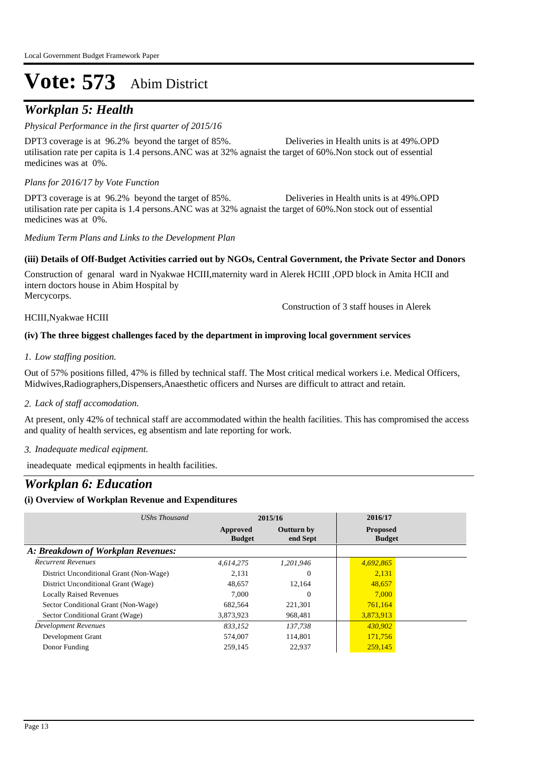## *Workplan 5: Health*

#### *Physical Performance in the first quarter of 2015/16*

DPT3 coverage is at 96.2% beyond the target of 85%. Deliveries in Health units is at 49%. OPD utilisation rate per capita is 1.4 persons.ANC was at 32% agnaist the target of 60%.Non stock out of essential medicines was at 0%.

#### *Plans for 2016/17 by Vote Function*

DPT3 coverage is at 96.2% beyond the target of 85%. Deliveries in Health units is at 49%. OPD utilisation rate per capita is 1.4 persons.ANC was at 32% agnaist the target of 60%.Non stock out of essential medicines was at 0%.

*Medium Term Plans and Links to the Development Plan*

#### **(iii) Details of Off-Budget Activities carried out by NGOs, Central Government, the Private Sector and Donors**

Construction of genaral ward in Nyakwae HCIII,maternity ward in Alerek HCIII ,OPD block in Amita HCII and intern doctors house in Abim Hospital by Mercycorps.

HCIII,Nyakwae HCIII

Construction of 3 staff houses in Alerek

#### **(iv) The three biggest challenges faced by the department in improving local government services**

#### *Low staffing position. 1.*

Out of 57% positions filled, 47% is filled by technical staff. The Most critical medical workers i.e. Medical Officers, Midwives,Radiographers,Dispensers,Anaesthetic officers and Nurses are difficult to attract and retain.

#### *Lack of staff accomodation. 2.*

At present, only 42% of technical staff are accommodated within the health facilities. This has compromised the access and quality of health services, eg absentism and late reporting for work.

*Inadequate medical eqipment. 3.*

ineadequate medical eqipments in health facilities.

### *Workplan 6: Education*

#### **(i) Overview of Workplan Revenue and Expenditures**

| UShs Thousand                           |                           | 2015/16                       | 2016/17                          |  |
|-----------------------------------------|---------------------------|-------------------------------|----------------------------------|--|
|                                         | Approved<br><b>Budget</b> | <b>Outturn by</b><br>end Sept | <b>Proposed</b><br><b>Budget</b> |  |
| A: Breakdown of Workplan Revenues:      |                           |                               |                                  |  |
| <b>Recurrent Revenues</b>               | 4.614.275                 | 1.201.946                     | 4,692,865                        |  |
| District Unconditional Grant (Non-Wage) | 2.131                     | 0                             | 2,131                            |  |
| District Unconditional Grant (Wage)     | 48,657                    | 12.164                        | 48,657                           |  |
| <b>Locally Raised Revenues</b>          | 7.000                     | $\Omega$                      | 7.000                            |  |
| Sector Conditional Grant (Non-Wage)     | 682,564                   | 221,301                       | 761,164                          |  |
| Sector Conditional Grant (Wage)         | 3,873,923                 | 968,481                       | 3,873,913                        |  |
| <b>Development Revenues</b>             | 833.152                   | 137,738                       | 430,902                          |  |
| Development Grant                       | 574,007                   | 114,801                       | 171,756                          |  |
| Donor Funding                           | 259,145                   | 22,937                        | 259,145                          |  |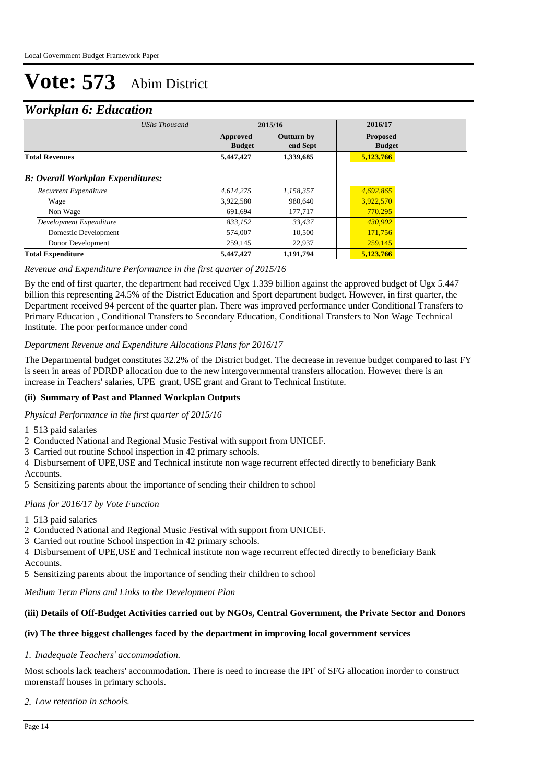### *Workplan 6: Education*

| ≖<br><b>UShs Thousand</b>                |                           | 2015/16                       | 2016/17                          |
|------------------------------------------|---------------------------|-------------------------------|----------------------------------|
|                                          | Approved<br><b>Budget</b> | <b>Outturn by</b><br>end Sept | <b>Proposed</b><br><b>Budget</b> |
| <b>Total Revenues</b>                    | 5,447,427                 | 1,339,685                     | 5,123,766                        |
| <b>B: Overall Workplan Expenditures:</b> |                           |                               |                                  |
| Recurrent Expenditure                    | 4,614,275                 | 1,158,357                     | 4,692,865                        |
| Wage                                     | 3,922,580                 | 980,640                       | 3,922,570                        |
| Non Wage                                 | 691.694                   | 177,717                       | 770,295                          |
| Development Expenditure                  | 833,152                   | 33,437                        | 430,902                          |
| Domestic Development                     | 574,007                   | 10.500                        | 171,756                          |
| Donor Development                        | 259,145                   | 22.937                        | 259,145                          |
| <b>Total Expenditure</b>                 | 5,447,427                 | 1,191,794                     | 5,123,766                        |

#### *Revenue and Expenditure Performance in the first quarter of 2015/16*

By the end of first quarter, the department had received Ugx 1.339 billion against the approved budget of Ugx 5.447 billion this representing 24.5% of the District Education and Sport department budget. However, in first quarter, the Department received 94 percent of the quarter plan. There was improved performance under Conditional Transfers to Primary Education , Conditional Transfers to Secondary Education, Conditional Transfers to Non Wage Technical Institute. The poor performance under cond

#### *Department Revenue and Expenditure Allocations Plans for 2016/17*

The Departmental budget constitutes 32.2% of the District budget. The decrease in revenue budget compared to last FY is seen in areas of PDRDP allocation due to the new intergovernmental transfers allocation. However there is an increase in Teachers' salaries, UPE grant, USE grant and Grant to Technical Institute.

#### **(ii) Summary of Past and Planned Workplan Outputs**

*Physical Performance in the first quarter of 2015/16*

1 513 paid salaries

2 Conducted National and Regional Music Festival with support from UNICEF.

3 Carried out routine School inspection in 42 primary schools.

4 Disbursement of UPE,USE and Technical institute non wage recurrent effected directly to beneficiary Bank Accounts.

5 Sensitizing parents about the importance of sending their children to school

#### *Plans for 2016/17 by Vote Function*

1 513 paid salaries

- 2 Conducted National and Regional Music Festival with support from UNICEF.
- 3 Carried out routine School inspection in 42 primary schools.

4 Disbursement of UPE,USE and Technical institute non wage recurrent effected directly to beneficiary Bank Accounts.

5 Sensitizing parents about the importance of sending their children to school

*Medium Term Plans and Links to the Development Plan*

#### **(iii) Details of Off-Budget Activities carried out by NGOs, Central Government, the Private Sector and Donors**

#### **(iv) The three biggest challenges faced by the department in improving local government services**

#### *Inadequate Teachers' accommodation. 1.*

Most schools lack teachers' accommodation. There is need to increase the IPF of SFG allocation inorder to construct morenstaff houses in primary schools.

*Low retention in schools. 2.*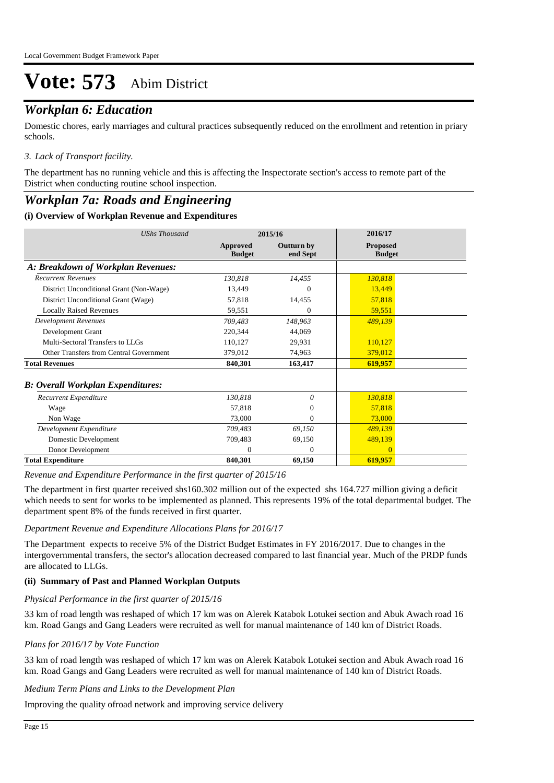## *Workplan 6: Education*

Domestic chores, early marriages and cultural practices subsequently reduced on the enrollment and retention in priary schools.

#### *Lack of Transport facility. 3.*

The department has no running vehicle and this is affecting the Inspectorate section's access to remote part of the District when conducting routine school inspection.

### *Workplan 7a: Roads and Engineering*

#### **(i) Overview of Workplan Revenue and Expenditures**

| <b>UShs Thousand</b>                      |                           | 2015/16                | 2016/17                          |  |
|-------------------------------------------|---------------------------|------------------------|----------------------------------|--|
|                                           | Approved<br><b>Budget</b> | Outturn by<br>end Sept | <b>Proposed</b><br><b>Budget</b> |  |
| A: Breakdown of Workplan Revenues:        |                           |                        |                                  |  |
| <b>Recurrent Revenues</b>                 | 130,818                   | 14.455                 | 130,818                          |  |
| District Unconditional Grant (Non-Wage)   | 13.449                    | $^{(1)}$               | 13,449                           |  |
| District Unconditional Grant (Wage)       | 57,818                    | 14,455                 | 57,818                           |  |
| <b>Locally Raised Revenues</b>            | 59,551                    | $\Omega$               | 59,551                           |  |
| <b>Development Revenues</b>               | 709,483                   | 148,963                | 489,139                          |  |
| Development Grant                         | 220,344                   | 44,069                 |                                  |  |
| Multi-Sectoral Transfers to LLGs          | 110.127                   | 29,931                 | 110,127                          |  |
| Other Transfers from Central Government   | 379,012                   | 74,963                 | 379,012                          |  |
| <b>Total Revenues</b>                     | 840,301                   | 163,417                | 619,957                          |  |
| <b>B</b> : Overall Workplan Expenditures: |                           |                        |                                  |  |
| Recurrent Expenditure                     | 130,818                   | 0                      | 130,818                          |  |
| Wage                                      | 57,818                    | $\theta$               | 57,818                           |  |
| Non Wage                                  | 73,000                    | $\Omega$               | 73,000                           |  |
| Development Expenditure                   | 709,483                   | 69,150                 | 489,139                          |  |
| Domestic Development                      | 709,483                   | 69,150                 | 489,139                          |  |
| Donor Development                         | $\Omega$                  | $\theta$               | $\Omega$                         |  |
| <b>Total Expenditure</b>                  | 840,301                   | 69,150                 | 619,957                          |  |

*Revenue and Expenditure Performance in the first quarter of 2015/16*

The department in first quarter received shs160.302 million out of the expected shs 164.727 million giving a deficit which needs to sent for works to be implemented as planned. This represents 19% of the total departmental budget. The department spent 8% of the funds received in first quarter.

#### *Department Revenue and Expenditure Allocations Plans for 2016/17*

The Department expects to receive 5% of the District Budget Estimates in FY 2016/2017. Due to changes in the intergovernmental transfers, the sector's allocation decreased compared to last financial year. Much of the PRDP funds are allocated to LLGs.

#### **(ii) Summary of Past and Planned Workplan Outputs**

#### *Physical Performance in the first quarter of 2015/16*

33 km of road length was reshaped of which 17 km was on Alerek Katabok Lotukei section and Abuk Awach road 16 km. Road Gangs and Gang Leaders were recruited as well for manual maintenance of 140 km of District Roads.

#### *Plans for 2016/17 by Vote Function*

33 km of road length was reshaped of which 17 km was on Alerek Katabok Lotukei section and Abuk Awach road 16 km. Road Gangs and Gang Leaders were recruited as well for manual maintenance of 140 km of District Roads.

*Medium Term Plans and Links to the Development Plan*

Improving the quality ofroad network and improving service delivery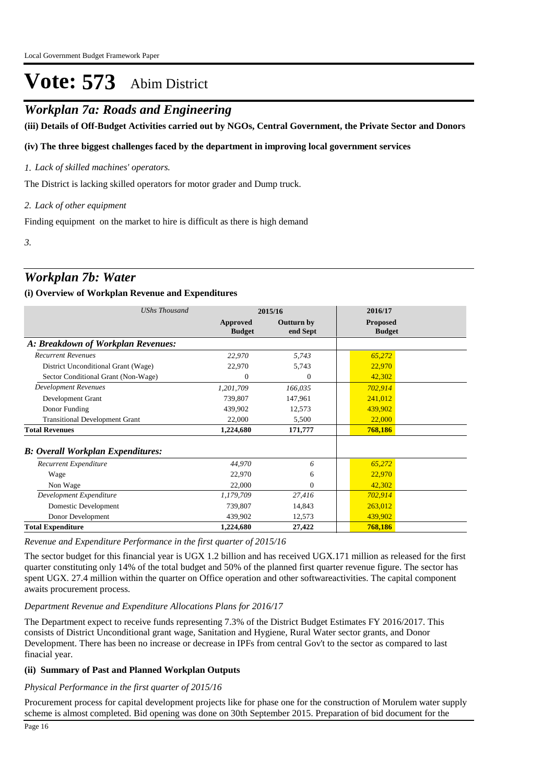### *Workplan 7a: Roads and Engineering*

**(iii) Details of Off-Budget Activities carried out by NGOs, Central Government, the Private Sector and Donors** 

#### **(iv) The three biggest challenges faced by the department in improving local government services**

#### *Lack of skilled machines' operators. 1.*

The District is lacking skilled operators for motor grader and Dump truck.

#### *Lack of other equipment 2.*

Finding equipment on the market to hire is difficult as there is high demand

*3.*

### *Workplan 7b: Water*

#### **(i) Overview of Workplan Revenue and Expenditures**

| <b>UShs Thousand</b>                     |                           | 2015/16                       | 2016/17                          |  |
|------------------------------------------|---------------------------|-------------------------------|----------------------------------|--|
|                                          | Approved<br><b>Budget</b> | <b>Outturn by</b><br>end Sept | <b>Proposed</b><br><b>Budget</b> |  |
| A: Breakdown of Workplan Revenues:       |                           |                               |                                  |  |
| <b>Recurrent Revenues</b>                | 22,970                    | 5,743                         | 65,272                           |  |
| District Unconditional Grant (Wage)      | 22,970                    | 5,743                         | 22,970                           |  |
| Sector Conditional Grant (Non-Wage)      | $\theta$                  | $\theta$                      | 42,302                           |  |
| <b>Development Revenues</b>              | 1,201,709                 | 166,035                       | 702,914                          |  |
| Development Grant                        | 739,807                   | 147,961                       | 241,012                          |  |
| Donor Funding                            | 439,902                   | 12,573                        | 439,902                          |  |
| <b>Transitional Development Grant</b>    | 22,000                    | 5,500                         | 22,000                           |  |
| <b>Total Revenues</b>                    | 1,224,680                 | 171,777                       | 768,186                          |  |
| <b>B: Overall Workplan Expenditures:</b> |                           |                               |                                  |  |
| Recurrent Expenditure                    | 44,970                    | 6                             | 65,272                           |  |
| Wage                                     | 22,970                    | 6                             | 22,970                           |  |
| Non Wage                                 | 22,000                    | $\Omega$                      | 42,302                           |  |
| Development Expenditure                  | 1,179,709                 | 27,416                        | 702,914                          |  |
| Domestic Development                     | 739,807                   | 14,843                        | 263,012                          |  |
| Donor Development                        | 439,902                   | 12,573                        | 439,902                          |  |
| <b>Total Expenditure</b>                 | 1,224,680                 | 27,422                        | 768,186                          |  |

*Revenue and Expenditure Performance in the first quarter of 2015/16*

The sector budget for this financial year is UGX 1.2 billion and has received UGX.171 million as released for the first quarter constituting only 14% of the total budget and 50% of the planned first quarter revenue figure. The sector has spent UGX. 27.4 million within the quarter on Office operation and other softwareactivities. The capital component awaits procurement process.

#### *Department Revenue and Expenditure Allocations Plans for 2016/17*

The Department expect to receive funds representing 7.3% of the District Budget Estimates FY 2016/2017. This consists of District Unconditional grant wage, Sanitation and Hygiene, Rural Water sector grants, and Donor Development. There has been no increase or decrease in IPFs from central Gov't to the sector as compared to last finacial year.

#### **(ii) Summary of Past and Planned Workplan Outputs**

#### *Physical Performance in the first quarter of 2015/16*

Procurement process for capital development projects like for phase one for the construction of Morulem water supply scheme is almost completed. Bid opening was done on 30th September 2015. Preparation of bid document for the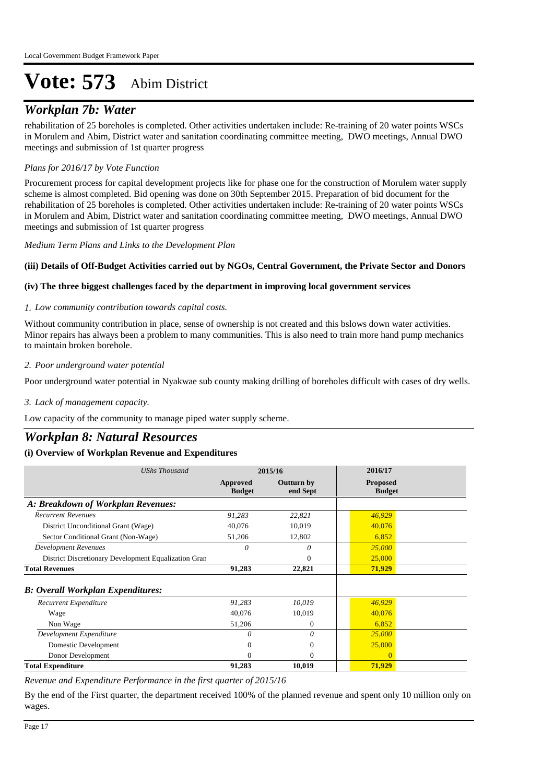## *Workplan 7b: Water*

rehabilitation of 25 boreholes is completed. Other activities undertaken include: Re-training of 20 water points WSCs in Morulem and Abim, District water and sanitation coordinating committee meeting, DWO meetings, Annual DWO meetings and submission of 1st quarter progress

#### *Plans for 2016/17 by Vote Function*

Procurement process for capital development projects like for phase one for the construction of Morulem water supply scheme is almost completed. Bid opening was done on 30th September 2015. Preparation of bid document for the rehabilitation of 25 boreholes is completed. Other activities undertaken include: Re-training of 20 water points WSCs in Morulem and Abim, District water and sanitation coordinating committee meeting, DWO meetings, Annual DWO meetings and submission of 1st quarter progress

*Medium Term Plans and Links to the Development Plan*

#### **(iii) Details of Off-Budget Activities carried out by NGOs, Central Government, the Private Sector and Donors**

#### **(iv) The three biggest challenges faced by the department in improving local government services**

#### *Low community contribution towards capital costs. 1.*

Without community contribution in place, sense of ownership is not created and this bslows down water activities. Minor repairs has always been a problem to many communities. This is also need to train more hand pump mechanics to maintain broken borehole.

#### *Poor underground water potential 2.*

Poor underground water potential in Nyakwae sub county making drilling of boreholes difficult with cases of dry wells.

#### *Lack of management capacity. 3.*

Low capacity of the community to manage piped water supply scheme.

### *Workplan 8: Natural Resources*

#### **(i) Overview of Workplan Revenue and Expenditures**

| <b>UShs Thousand</b>                                 | 2015/16                   |                               | 2016/17                          |
|------------------------------------------------------|---------------------------|-------------------------------|----------------------------------|
|                                                      | Approved<br><b>Budget</b> | <b>Outturn by</b><br>end Sept | <b>Proposed</b><br><b>Budget</b> |
| A: Breakdown of Workplan Revenues:                   |                           |                               |                                  |
| <b>Recurrent Revenues</b>                            | 91,283                    | 22,821                        | 46,929                           |
| District Unconditional Grant (Wage)                  | 40,076                    | 10,019                        | 40,076                           |
| Sector Conditional Grant (Non-Wage)                  | 51,206                    | 12,802                        | 6,852                            |
| <b>Development Revenues</b>                          | 0                         | 0                             | 25,000                           |
| District Discretionary Development Equalization Gran |                           | 0                             | 25,000                           |
| <b>Total Revenues</b>                                | 91,283                    | 22,821                        | 71,929                           |
| <b>B: Overall Workplan Expenditures:</b>             |                           |                               |                                  |
| Recurrent Expenditure                                | 91,283                    | 10,019                        | 46,929                           |
| Wage                                                 | 40,076                    | 10,019                        | 40,076                           |
| Non Wage                                             | 51,206                    | $\mathbf{0}$                  | 6,852                            |
| Development Expenditure                              | 0                         | 0                             | 25,000                           |
| Domestic Development                                 | 0                         | $\Omega$                      | 25,000                           |
| Donor Development                                    | 0                         | $\Omega$                      | $\Omega$                         |
| <b>Total Expenditure</b>                             | 91,283                    | 10,019                        | 71,929                           |

*Revenue and Expenditure Performance in the first quarter of 2015/16*

By the end of the First quarter, the department received 100% of the planned revenue and spent only 10 million only on wages.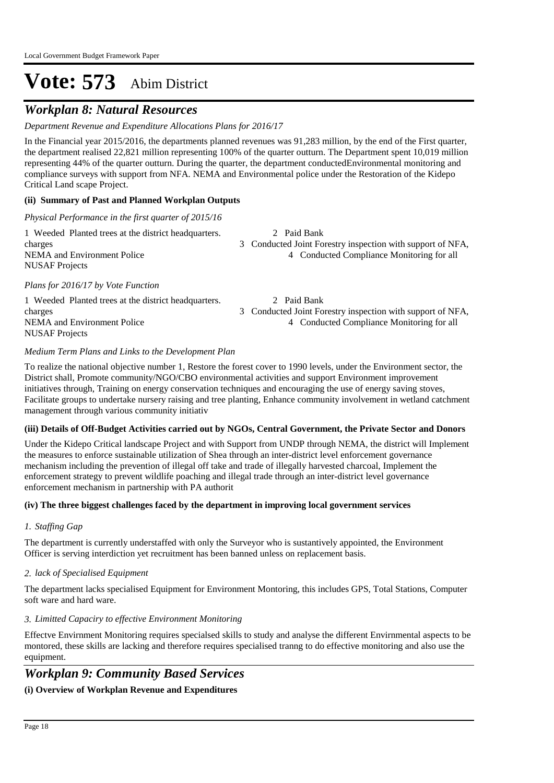## *Workplan 8: Natural Resources*

*Department Revenue and Expenditure Allocations Plans for 2016/17*

In the Financial year 2015/2016, the departments planned revenues was 91,283 million, by the end of the First quarter, the department realised 22,821 million representing 100% of the quarter outturn. The Department spent 10,019 million representing 44% of the quarter outturn. During the quarter, the department conductedEnvironmental monitoring and compliance surveys with support from NFA. NEMA and Environmental police under the Restoration of the Kidepo Critical Land scape Project.

#### **(ii) Summary of Past and Planned Workplan Outputs**

*Physical Performance in the first quarter of 2015/16*

| 1 Weeded Planted trees at the district headquarters. | 2 Paid Bank                                                |
|------------------------------------------------------|------------------------------------------------------------|
| charges                                              | 3 Conducted Joint Forestry inspection with support of NFA, |
| NEMA and Environment Police                          | 4 Conducted Compliance Monitoring for all                  |
| <b>NUSAF</b> Projects                                |                                                            |
| Plans for 2016/17 by Vote Function                   |                                                            |
| 1 Weeded Planted trees at the district headquarters. | 2 Paid Bank                                                |

NUSAF Projects

charges 3 Conducted Joint Forestry inspection with support of NFA, NEMA and Environment Police 4 Conducted Compliance Monitoring for all

#### *Medium Term Plans and Links to the Development Plan*

To realize the national objective number 1, Restore the forest cover to 1990 levels, under the Environment sector, the District shall, Promote community/NGO/CBO environmental activities and support Environment improvement initiatives through, Training on energy conservation techniques and encouraging the use of energy saving stoves, Facilitate groups to undertake nursery raising and tree planting, Enhance community involvement in wetland catchment management through various community initiativ

#### **(iii) Details of Off-Budget Activities carried out by NGOs, Central Government, the Private Sector and Donors**

Under the Kidepo Critical landscape Project and with Support from UNDP through NEMA, the district will Implement the measures to enforce sustainable utilization of Shea through an inter-district level enforcement governance mechanism including the prevention of illegal off take and trade of illegally harvested charcoal, Implement the enforcement strategy to prevent wildlife poaching and illegal trade through an inter-district level governance enforcement mechanism in partnership with PA authorit

#### **(iv) The three biggest challenges faced by the department in improving local government services**

#### *Staffing Gap 1.*

The department is currently understaffed with only the Surveyor who is sustantively appointed, the Environment Officer is serving interdiction yet recruitment has been banned unless on replacement basis.

#### *lack of Specialised Equipment 2.*

The department lacks specialised Equipment for Environment Montoring, this includes GPS, Total Stations, Computer soft ware and hard ware.

#### *Limitted Capaciry to effective Environment Monitoring 3.*

Effectve Envirnment Monitoring requires specialsed skills to study and analyse the different Envirnmental aspects to be montored, these skills are lacking and therefore requires specialised tranng to do effective monitoring and also use the equipment.

## *Workplan 9: Community Based Services*

### **(i) Overview of Workplan Revenue and Expenditures**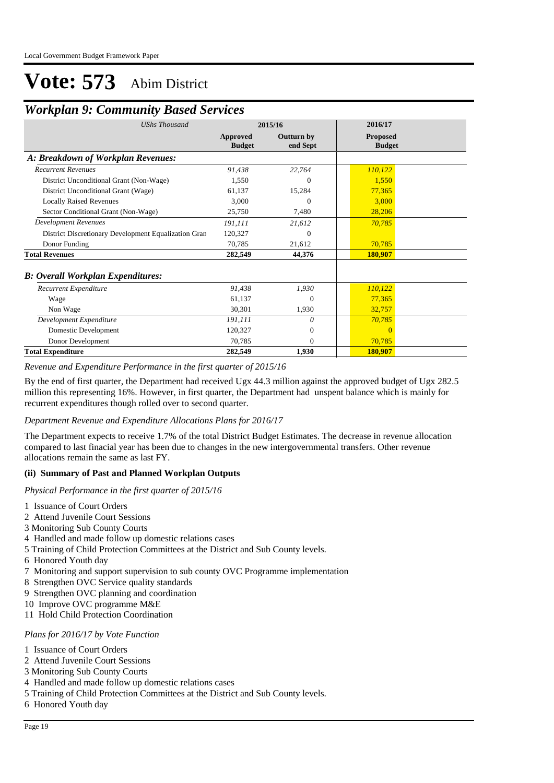### *Workplan 9: Community Based Services*

| <b>UShs Thousand</b>                                 | 2015/16                   |                               | 2016/17                          |  |
|------------------------------------------------------|---------------------------|-------------------------------|----------------------------------|--|
|                                                      | Approved<br><b>Budget</b> | <b>Outturn by</b><br>end Sept | <b>Proposed</b><br><b>Budget</b> |  |
| A: Breakdown of Workplan Revenues:                   |                           |                               |                                  |  |
| <b>Recurrent Revenues</b>                            | 91,438                    | 22,764                        | 110,122                          |  |
| District Unconditional Grant (Non-Wage)              | 1.550                     | $\Omega$                      | 1,550                            |  |
| District Unconditional Grant (Wage)                  | 61,137                    | 15,284                        | 77,365                           |  |
| <b>Locally Raised Revenues</b>                       | 3,000                     | $\Omega$                      | 3,000                            |  |
| Sector Conditional Grant (Non-Wage)                  | 25,750                    | 7,480                         | 28,206                           |  |
| <b>Development Revenues</b>                          | 191,111                   | 21,612                        | 70,785                           |  |
| District Discretionary Development Equalization Gran | 120,327                   | $\Omega$                      |                                  |  |
| Donor Funding                                        | 70,785                    | 21,612                        | 70,785                           |  |
| <b>Total Revenues</b>                                | 282,549                   | 44,376                        | 180,907                          |  |
| <b>B: Overall Workplan Expenditures:</b>             |                           |                               |                                  |  |
| Recurrent Expenditure                                | 91,438                    | 1,930                         | 110,122                          |  |
| Wage                                                 | 61,137                    | $\Omega$                      | 77,365                           |  |
| Non Wage                                             | 30,301                    | 1,930                         | 32,757                           |  |
| Development Expenditure                              | 191,111                   | 0                             | 70,785                           |  |
| Domestic Development                                 | 120,327                   | $\mathbf{0}$                  | $\Omega$                         |  |
| Donor Development                                    | 70,785                    | $\Omega$                      | 70,785                           |  |
| <b>Total Expenditure</b>                             | 282,549                   | 1,930                         | 180,907                          |  |

*Revenue and Expenditure Performance in the first quarter of 2015/16*

By the end of first quarter, the Department had received Ugx 44.3 million against the approved budget of Ugx 282.5 million this representing 16%. However, in first quarter, the Department had unspent balance which is mainly for recurrent expenditures though rolled over to second quarter.

#### *Department Revenue and Expenditure Allocations Plans for 2016/17*

The Department expects to receive 1.7% of the total District Budget Estimates. The decrease in revenue allocation compared to last finacial year has been due to changes in the new intergovernmental transfers. Other revenue allocations remain the same as last FY.

#### **(ii) Summary of Past and Planned Workplan Outputs**

*Physical Performance in the first quarter of 2015/16*

- 1 Issuance of Court Orders
- 2 Attend Juvenile Court Sessions
- 3 Monitoring Sub County Courts
- 4 Handled and made follow up domestic relations cases
- 5 Training of Child Protection Committees at the District and Sub County levels.
- 6 Honored Youth day
- 7 Monitoring and support supervision to sub county OVC Programme implementation
- 8 Strengthen OVC Service quality standards
- 9 Strengthen OVC planning and coordination
- 10 Improve OVC programme M&E
- 11 Hold Child Protection Coordination

### *Plans for 2016/17 by Vote Function*

- 1 Issuance of Court Orders
- 2 Attend Juvenile Court Sessions
- 3 Monitoring Sub County Courts
- 4 Handled and made follow up domestic relations cases
- 5 Training of Child Protection Committees at the District and Sub County levels.
- 6 Honored Youth day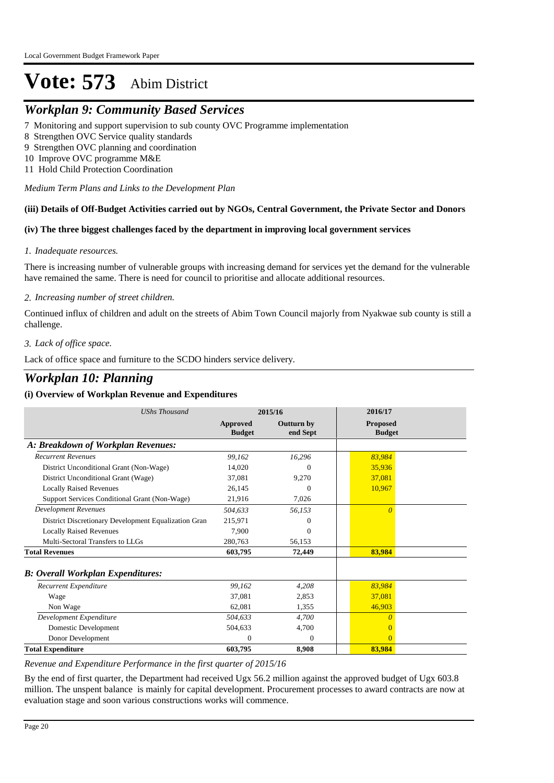### *Workplan 9: Community Based Services*

7 Monitoring and support supervision to sub county OVC Programme implementation

- 8 Strengthen OVC Service quality standards
- 9 Strengthen OVC planning and coordination
- 10 Improve OVC programme M&E
- 11 Hold Child Protection Coordination

*Medium Term Plans and Links to the Development Plan*

#### **(iii) Details of Off-Budget Activities carried out by NGOs, Central Government, the Private Sector and Donors**

#### **(iv) The three biggest challenges faced by the department in improving local government services**

#### *Inadequate resources. 1.*

There is increasing number of vulnerable groups with increasing demand for services yet the demand for the vulnerable have remained the same. There is need for council to prioritise and allocate additional resources.

#### *Increasing number of street children. 2.*

Continued influx of children and adult on the streets of Abim Town Council majorly from Nyakwae sub county is still a challenge.

#### *Lack of office space. 3.*

Lack of office space and furniture to the SCDO hinders service delivery.

## *Workplan 10: Planning*

#### **(i) Overview of Workplan Revenue and Expenditures**

| <b>UShs Thousand</b>                                 | 2015/16                   |                        | 2016/17                          |  |
|------------------------------------------------------|---------------------------|------------------------|----------------------------------|--|
|                                                      | Approved<br><b>Budget</b> | Outturn by<br>end Sept | <b>Proposed</b><br><b>Budget</b> |  |
| A: Breakdown of Workplan Revenues:                   |                           |                        |                                  |  |
| <b>Recurrent Revenues</b>                            | 99.162                    | 16,296                 | 83,984                           |  |
| District Unconditional Grant (Non-Wage)              | 14.020                    | $\Omega$               | 35.936                           |  |
| District Unconditional Grant (Wage)                  | 37,081                    | 9,270                  | 37,081                           |  |
| <b>Locally Raised Revenues</b>                       | 26,145                    | $\Omega$               | 10,967                           |  |
| Support Services Conditional Grant (Non-Wage)        | 21,916                    | 7,026                  |                                  |  |
| <b>Development Revenues</b>                          | 504,633                   | 56,153                 | $\theta$                         |  |
| District Discretionary Development Equalization Gran | 215,971                   | 0                      |                                  |  |
| <b>Locally Raised Revenues</b>                       | 7.900                     | $\Omega$               |                                  |  |
| Multi-Sectoral Transfers to LLGs                     | 280,763                   | 56,153                 |                                  |  |
| <b>Total Revenues</b>                                | 603,795                   | 72,449                 | 83,984                           |  |
| <b>B: Overall Workplan Expenditures:</b>             |                           |                        |                                  |  |
| Recurrent Expenditure                                | 99,162                    | 4,208                  | 83,984                           |  |
| Wage                                                 | 37,081                    | 2,853                  | 37,081                           |  |
| Non Wage                                             | 62,081                    | 1,355                  | 46,903                           |  |
| Development Expenditure                              | 504,633                   | 4,700                  | O                                |  |
| Domestic Development                                 | 504,633                   | 4,700                  |                                  |  |
| Donor Development                                    | 0                         | 0                      | $\Omega$                         |  |
| <b>Total Expenditure</b>                             | 603,795                   | 8,908                  | 83,984                           |  |

*Revenue and Expenditure Performance in the first quarter of 2015/16*

By the end of first quarter, the Department had received Ugx 56.2 million against the approved budget of Ugx 603.8 million. The unspent balance is mainly for capital development. Procurement processes to award contracts are now at evaluation stage and soon various constructions works will commence.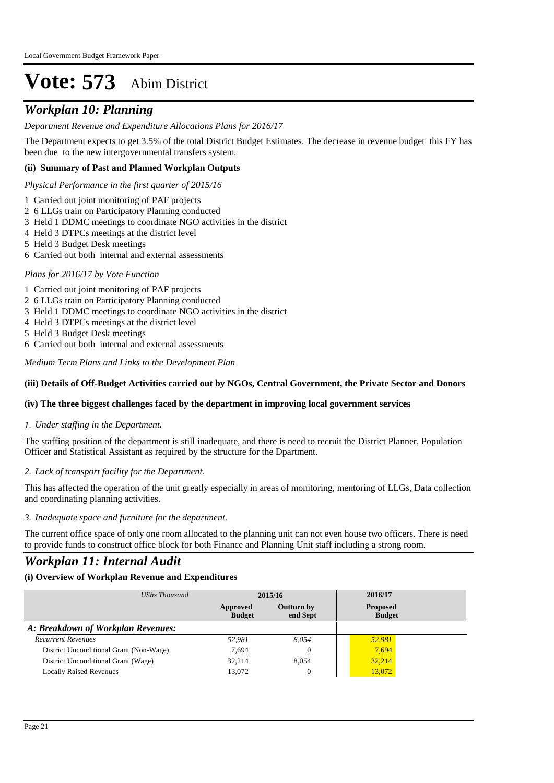## *Workplan 10: Planning*

#### *Department Revenue and Expenditure Allocations Plans for 2016/17*

The Department expects to get 3.5% of the total District Budget Estimates. The decrease in revenue budget this FY has been due to the new intergovernmental transfers system.

#### **(ii) Summary of Past and Planned Workplan Outputs**

*Physical Performance in the first quarter of 2015/16*

- 1 Carried out joint monitoring of PAF projects
- 2 6 LLGs train on Participatory Planning conducted
- 3 Held 1 DDMC meetings to coordinate NGO activities in the district
- 4 Held 3 DTPCs meetings at the district level
- 5 Held 3 Budget Desk meetings
- 6 Carried out both internal and external assessments

#### *Plans for 2016/17 by Vote Function*

- 1 Carried out joint monitoring of PAF projects
- 2 6 LLGs train on Participatory Planning conducted
- 3 Held 1 DDMC meetings to coordinate NGO activities in the district
- 4 Held 3 DTPCs meetings at the district level
- 5 Held 3 Budget Desk meetings
- 6 Carried out both internal and external assessments

*Medium Term Plans and Links to the Development Plan*

#### **(iii) Details of Off-Budget Activities carried out by NGOs, Central Government, the Private Sector and Donors**

#### **(iv) The three biggest challenges faced by the department in improving local government services**

#### *Under staffing in the Department. 1.*

The staffing position of the department is still inadequate, and there is need to recruit the District Planner, Population Officer and Statistical Assistant as required by the structure for the Dpartment.

#### *Lack of transport facility for the Department. 2.*

This has affected the operation of the unit greatly especially in areas of monitoring, mentoring of LLGs, Data collection and coordinating planning activities.

#### *Inadequate space and furniture for the department. 3.*

The current office space of only one room allocated to the planning unit can not even house two officers. There is need to provide funds to construct office block for both Finance and Planning Unit staff including a strong room.

### *Workplan 11: Internal Audit*

#### **(i) Overview of Workplan Revenue and Expenditures**

| UShs Thousand                           |                           | 2015/16                | 2016/17                          |  |
|-----------------------------------------|---------------------------|------------------------|----------------------------------|--|
|                                         | Approved<br><b>Budget</b> | Outturn by<br>end Sept | <b>Proposed</b><br><b>Budget</b> |  |
| A: Breakdown of Workplan Revenues:      |                           |                        |                                  |  |
| <b>Recurrent Revenues</b>               | 52,981                    | 8.054                  | 52.981                           |  |
| District Unconditional Grant (Non-Wage) | 7.694                     | $\Omega$               | 7,694                            |  |
| District Unconditional Grant (Wage)     | 32,214                    | 8.054                  | 32,214                           |  |
| <b>Locally Raised Revenues</b>          | 13,072                    | 0                      | 13,072                           |  |